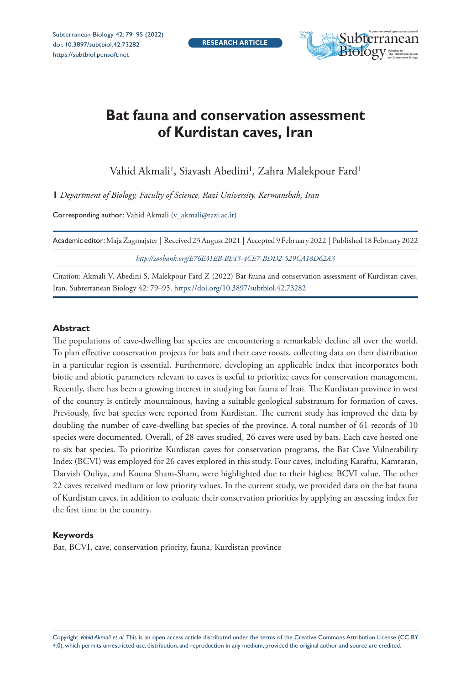Subterranean Biology 42: 79–95 (2022) doi: 10.3897/subtbiol.42.73282 <https://subtbiol.pensoft.net>



# **Bat fauna and conservation assessment of Kurdistan caves, Iran**

Vahid Akmali', Siavash Abedini', Zahra Malekpour Fard'

**1** *Department of Biology, Faculty of Science, Razi University, Kermanshah, Iran*

Corresponding author: Vahid Akmali [\(v\\_akmali@razi.ac.ir\)](mailto:v_akmali@razi.ac.ir)

| Academic editor: Maja Zagmajster   Received 23 August 2021   Accepted 9 February 2022   Published 18 February 2022 |
|--------------------------------------------------------------------------------------------------------------------|
| http://zoobank.org/E76E31EB-BE43-4CE7-BDD2-529CA18D62A3                                                            |

Citation: Akmali V, Abedini S, Malekpour Fard Z (2022) Bat fauna and conservation assessment of Kurdistan caves, Iran. Subterranean Biology 42: 79–95.<https://doi.org/10.3897/subtbiol.42.73282>

#### **Abstract**

The populations of cave-dwelling bat species are encountering a remarkable decline all over the world. To plan effective conservation projects for bats and their cave roosts, collecting data on their distribution in a particular region is essential. Furthermore, developing an applicable index that incorporates both biotic and abiotic parameters relevant to caves is useful to prioritize caves for conservation management. Recently, there has been a growing interest in studying bat fauna of Iran. The Kurdistan province in west of the country is entirely mountainous, having a suitable geological substratum for formation of caves. Previously, five bat species were reported from Kurdistan. The current study has improved the data by doubling the number of cave-dwelling bat species of the province. A total number of 61 records of 10 species were documented. Overall, of 28 caves studied, 26 caves were used by bats. Each cave hosted one to six bat species. To prioritize Kurdistan caves for conservation programs, the Bat Cave Vulnerability Index (BCVI) was employed for 26 caves explored in this study. Four caves, including Karaftu, Kamtaran, Darvish Ouliya, and Kouna Sham-Sham, were highlighted due to their highest BCVI value. The other 22 caves received medium or low priority values. In the current study, we provided data on the bat fauna of Kurdistan caves, in addition to evaluate their conservation priorities by applying an assessing index for the first time in the country.

#### **Keywords**

Bat, BCVI, cave, conservation priority, fauna, Kurdistan province

Copyright *Vahid Akmali et al.* This is an open access article distributed under the terms of the [Creative Commons Attribution License \(CC BY](http://creativecommons.org/licenses/by/4.0/)  [4.0\)](http://creativecommons.org/licenses/by/4.0/), which permits unrestricted use, distribution, and reproduction in any medium, provided the original author and source are credited.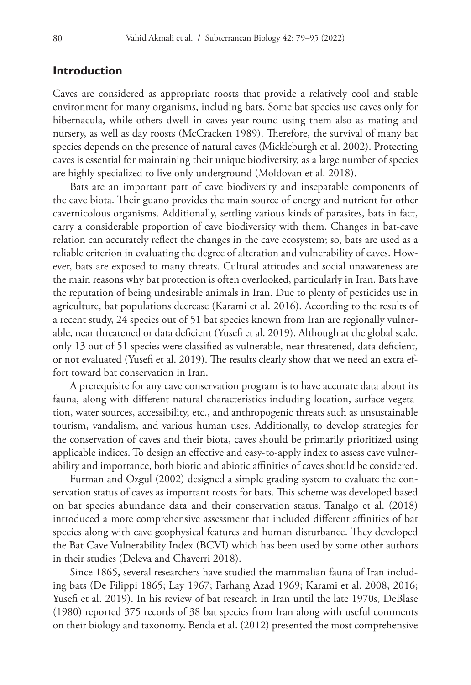## **Introduction**

Caves are considered as appropriate roosts that provide a relatively cool and stable environment for many organisms, including bats. Some bat species use caves only for hibernacula, while others dwell in caves year-round using them also as mating and nursery, as well as day roosts (McCracken 1989). Therefore, the survival of many bat species depends on the presence of natural caves (Mickleburgh et al. 2002). Protecting caves is essential for maintaining their unique biodiversity, as a large number of species are highly specialized to live only underground (Moldovan et al. 2018).

Bats are an important part of cave biodiversity and inseparable components of the cave biota. Their guano provides the main source of energy and nutrient for other cavernicolous organisms. Additionally, settling various kinds of parasites, bats in fact, carry a considerable proportion of cave biodiversity with them. Changes in bat-cave relation can accurately reflect the changes in the cave ecosystem; so, bats are used as a reliable criterion in evaluating the degree of alteration and vulnerability of caves. However, bats are exposed to many threats. Cultural attitudes and social unawareness are the main reasons why bat protection is often overlooked, particularly in Iran. Bats have the reputation of being undesirable animals in Iran. Due to plenty of pesticides use in agriculture, bat populations decrease (Karami et al. 2016). According to the results of a recent study, 24 species out of 51 bat species known from Iran are regionally vulnerable, near threatened or data deficient (Yusefi et al. 2019). Although at the global scale, only 13 out of 51 species were classified as vulnerable, near threatened, data deficient, or not evaluated (Yusefi et al. 2019). The results clearly show that we need an extra effort toward bat conservation in Iran.

A prerequisite for any cave conservation program is to have accurate data about its fauna, along with different natural characteristics including location, surface vegetation, water sources, accessibility, etc., and anthropogenic threats such as unsustainable tourism, vandalism, and various human uses. Additionally, to develop strategies for the conservation of caves and their biota, caves should be primarily prioritized using applicable indices. To design an effective and easy-to-apply index to assess cave vulnerability and importance, both biotic and abiotic affinities of caves should be considered.

Furman and Ozgul (2002) designed a simple grading system to evaluate the conservation status of caves as important roosts for bats. This scheme was developed based on bat species abundance data and their conservation status. Tanalgo et al. (2018) introduced a more comprehensive assessment that included different affinities of bat species along with cave geophysical features and human disturbance. They developed the Bat Cave Vulnerability Index (BCVI) which has been used by some other authors in their studies (Deleva and Chaverri 2018).

Since 1865, several researchers have studied the mammalian fauna of Iran including bats (De Filippi 1865; Lay 1967; Farhang Azad 1969; Karami et al. 2008, 2016; Yusefi et al. 2019). In his review of bat research in Iran until the late 1970s, DeBlase (1980) reported 375 records of 38 bat species from Iran along with useful comments on their biology and taxonomy. Benda et al. (2012) presented the most comprehensive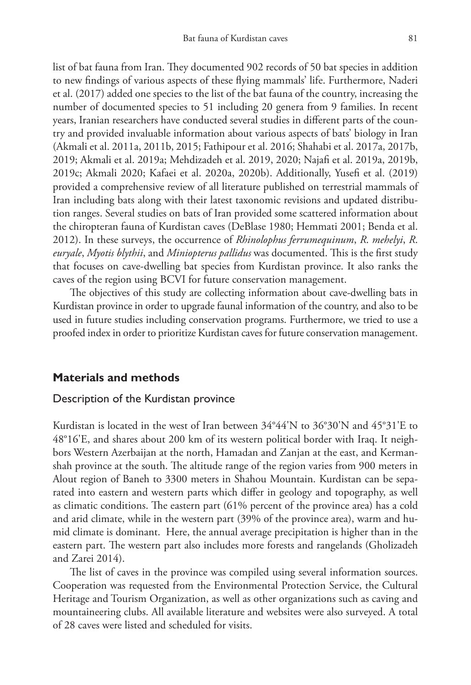list of bat fauna from Iran. They documented 902 records of 50 bat species in addition to new findings of various aspects of these flying mammals' life. Furthermore, Naderi et al. (2017) added one species to the list of the bat fauna of the country, increasing the number of documented species to 51 including 20 genera from 9 families. In recent years, Iranian researchers have conducted several studies in different parts of the country and provided invaluable information about various aspects of bats' biology in Iran (Akmali et al. 2011a, 2011b, 2015; Fathipour et al. 2016; Shahabi et al. 2017a, 2017b, 2019; Akmali et al. 2019a; Mehdizadeh et al. 2019, 2020; Najafi et al. 2019a, 2019b, 2019c; Akmali 2020; Kafaei et al. 2020a, 2020b). Additionally, Yusefi et al. (2019) provided a comprehensive review of all literature published on terrestrial mammals of Iran including bats along with their latest taxonomic revisions and updated distribution ranges. Several studies on bats of Iran provided some scattered information about the chiropteran fauna of Kurdistan caves (DeBlase 1980; Hemmati 2001; Benda et al. 2012). In these surveys, the occurrence of *Rhinolophus ferrumequinum*, *R*. *mehelyi*, *R*. *euryale*, *Myotis blythii*, and *Miniopterus pallidus* was documented. This is the first study that focuses on cave-dwelling bat species from Kurdistan province. It also ranks the caves of the region using BCVI for future conservation management.

The objectives of this study are collecting information about cave-dwelling bats in Kurdistan province in order to upgrade faunal information of the country, and also to be used in future studies including conservation programs. Furthermore, we tried to use a proofed index in order to prioritize Kurdistan caves for future conservation management.

### **Materials and methods**

### Description of the Kurdistan province

Kurdistan is located in the west of Iran between 34°44'N to 36°30'N and 45°31'E to 48°16'E, and shares about 200 km of its western political border with Iraq. It neighbors Western Azerbaijan at the north, Hamadan and Zanjan at the east, and Kermanshah province at the south. The altitude range of the region varies from 900 meters in Alout region of Baneh to 3300 meters in Shahou Mountain. Kurdistan can be separated into eastern and western parts which differ in geology and topography, as well as climatic conditions. The eastern part (61% percent of the province area) has a cold and arid climate, while in the western part (39% of the province area), warm and humid climate is dominant. Here, the annual average precipitation is higher than in the eastern part. The western part also includes more forests and rangelands (Gholizadeh and Zarei 2014).

The list of caves in the province was compiled using several information sources. Cooperation was requested from the Environmental Protection Service, the Cultural Heritage and Tourism Organization, as well as other organizations such as caving and mountaineering clubs. All available literature and websites were also surveyed. A total of 28 caves were listed and scheduled for visits.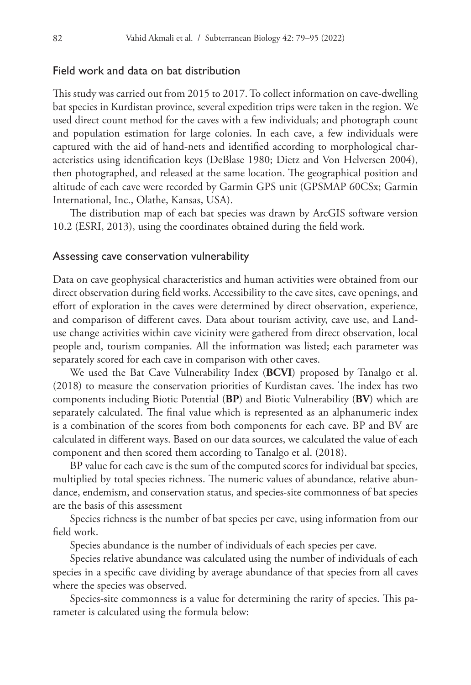#### Field work and data on bat distribution

This study was carried out from 2015 to 2017. To collect information on cave-dwelling bat species in Kurdistan province, several expedition trips were taken in the region. We used direct count method for the caves with a few individuals; and photograph count and population estimation for large colonies. In each cave, a few individuals were captured with the aid of hand-nets and identified according to morphological characteristics using identification keys (DeBlase 1980; Dietz and Von Helversen 2004), then photographed, and released at the same location. The geographical position and altitude of each cave were recorded by Garmin GPS unit (GPSMAP 60CSx; Garmin International, Inc., Olathe, Kansas, USA).

The distribution map of each bat species was drawn by ArcGIS software version 10.2 (ESRI, 2013), using the coordinates obtained during the field work.

#### Assessing cave conservation vulnerability

Data on cave geophysical characteristics and human activities were obtained from our direct observation during field works. Accessibility to the cave sites, cave openings, and effort of exploration in the caves were determined by direct observation, experience, and comparison of different caves. Data about tourism activity, cave use, and Landuse change activities within cave vicinity were gathered from direct observation, local people and, tourism companies. All the information was listed; each parameter was separately scored for each cave in comparison with other caves.

We used the Bat Cave Vulnerability Index (**BCVI**) proposed by Tanalgo et al. (2018) to measure the conservation priorities of Kurdistan caves. The index has two components including Biotic Potential (**BP**) and Biotic Vulnerability (**BV**) which are separately calculated. The final value which is represented as an alphanumeric index is a combination of the scores from both components for each cave. BP and BV are calculated in different ways. Based on our data sources, we calculated the value of each component and then scored them according to Tanalgo et al. (2018).

BP value for each cave is the sum of the computed scores for individual bat species, multiplied by total species richness. The numeric values of abundance, relative abundance, endemism, and conservation status, and species-site commonness of bat species are the basis of this assessment

Species richness is the number of bat species per cave, using information from our field work.

Species abundance is the number of individuals of each species per cave.

Species relative abundance was calculated using the number of individuals of each species in a specific cave dividing by average abundance of that species from all caves where the species was observed.

Species-site commonness is a value for determining the rarity of species. This parameter is calculated using the formula below: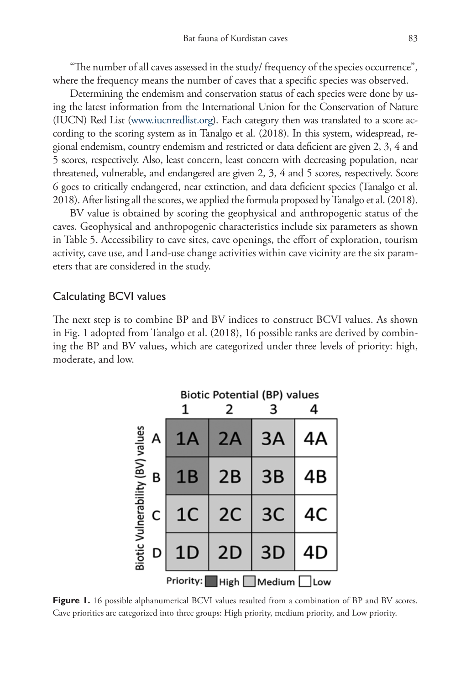"The number of all caves assessed in the study/ frequency of the species occurrence", where the frequency means the number of caves that a specific species was observed.

Determining the endemism and conservation status of each species were done by using the latest information from the International Union for the Conservation of Nature (IUCN) Red List (www.iucnredlist.org). Each category then was translated to a score according to the scoring system as in Tanalgo et al. (2018). In this system, widespread, regional endemism, country endemism and restricted or data deficient are given 2, 3, 4 and 5 scores, respectively. Also, least concern, least concern with decreasing population, near threatened, vulnerable, and endangered are given 2, 3, 4 and 5 scores, respectively. Score 6 goes to critically endangered, near extinction, and data deficient species (Tanalgo et al. 2018). After listing all the scores, we applied the formula proposed by Tanalgo et al. (2018).

BV value is obtained by scoring the geophysical and anthropogenic status of the caves. Geophysical and anthropogenic characteristics include six parameters as shown in Table 5. Accessibility to cave sites, cave openings, the effort of exploration, tourism activity, cave use, and Land-use change activities within cave vicinity are the six parameters that are considered in the study.

#### Calculating BCVI values

The next step is to combine BP and BV indices to construct BCVI values. As shown in Fig. 1 adopted from Tanalgo et al. (2018), 16 possible ranks are derived by combining the BP and BV values, which are categorized under three levels of priority: high, moderate, and low.



**Figure 1.** 16 possible alphanumerical BCVI values resulted from a combination of BP and BV scores. Cave priorities are categorized into three groups: High priority, medium priority, and Low priority.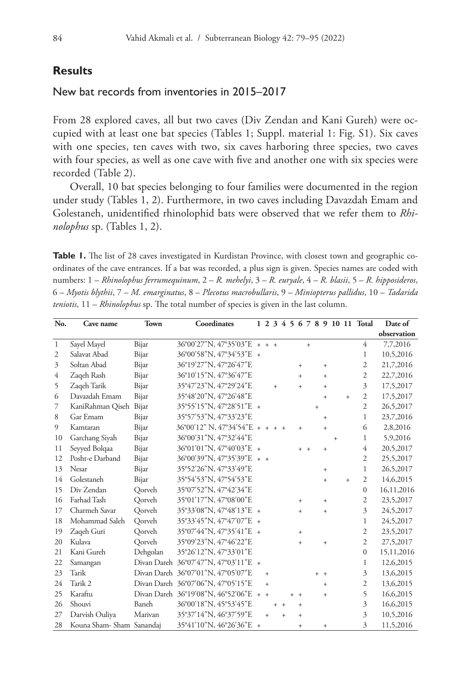## **Results**

## New bat records from inventories in 2015–2017

From 28 explored caves, all but two caves (Div Zendan and Kani Gureh) were occupied with at least one bat species (Tables 1; Suppl. material 1: Fig. S1). Six caves with one species, ten caves with two, six caves harboring three species, two caves with four species, as well as one cave with five and another one with six species were recorded (Table 2).

Overall, 10 bat species belonging to four families were documented in the region under study (Tables 1, 2). Furthermore, in two caves including Davazdah Emam and Golestaneh, unidentified rhinolophid bats were observed that we refer them to *Rhinolophus* sp. (Tables 1, 2).

**Table 1.** The list of 28 caves investigated in Kurdistan Province, with closest town and geographic coordinates of the cave entrances. If a bat was recorded, a plus sign is given. Species names are coded with numbers: 1 – *Rhinolophus ferrumequinum*, 2 – *R. mehelyi*, 3 – *R. euryale*, 4 – *R. blasii*, 5 – *R. hipposideros*, 6 – *Myotis blythii*, 7 – *M. emarginatus*, 8 – *Plecotus macrobullaris*, 9 – *Miniopterus pallidus*, 10 – *Tadarida teniotis*, 11 – *Rhinolophus* sp. The total number of species is given in the last column.

| No.            | Cave name                | <b>Town</b> | Coordinates                                         |           |     |       |            |       |           |                   |     |     | 1 2 3 4 5 6 7 8 9 10 11 Total | Date of     |
|----------------|--------------------------|-------------|-----------------------------------------------------|-----------|-----|-------|------------|-------|-----------|-------------------|-----|-----|-------------------------------|-------------|
|                |                          |             |                                                     |           |     |       |            |       |           |                   |     |     |                               | observation |
| 1              | Sayel Mayel              | Bijar       | $36^{\circ}00'27''N$ , $47^{\circ}35'03''E + +$     |           |     |       |            |       | $+$       |                   |     |     | 4                             | 7,7,2016    |
| $\overline{2}$ | Salavat Abad             | Bijar       | 36°00'58"N, 47°34'53"E +                            |           |     |       |            |       |           |                   |     |     | 1                             | 10,5,2016   |
| 3              | Soltan Abad              | Bijar       | 36°19'27"N, 47°26'47"E                              |           |     |       |            | $+$   |           | $+$               |     |     | $\mathfrak{2}$                | 21,7,2016   |
| 4              | Zageh Rash               | Bijar       | 36°10'15"N, 47°36'47"E                              |           |     |       |            | $+$   |           | $+$               |     |     | $\overline{2}$                | 22,7,2016   |
| 5              | Zaqeh Tarik              | Bijar       | 35°47'23"N, 47°29'24"E                              |           | $+$ |       |            | $+$   |           | $\ddot{}$         |     |     | $\overline{3}$                | 17,5,2017   |
| 6              | Davazdah Emam            | Bijar       | 35°48'20"N, 47°26'48"E                              |           |     |       |            |       |           | $+$               |     | $+$ | $\overline{c}$                | 17,5,2017   |
| 7              | KaniRahman Qiseh         | Bijar       | 35°55'15"N, 47°28'51"E +                            |           |     |       |            |       | $\ddot{}$ |                   |     |     | $\overline{2}$                | 26,5,2017   |
| 8              | Gar Emam                 | Bijar       | 35°57'53"N, 47°33'23"E                              |           |     |       |            |       |           | $+$               |     |     | $\mathbf{1}$                  | 23,7,2016   |
| 9              | Kamtaran                 | Bijar       | $36^{\circ}00'12''$ N, $47^{\circ}34'54''E$ + + + + |           |     |       |            | $+$   |           | $\ddot{}$         |     |     | 6                             | 2,8,2016    |
| 10             | Garchang Siyah           | Bijar       | 36°00'31"N, 47°32'44"E                              |           |     |       |            |       |           |                   | $+$ |     | 1                             | 5,9,2016    |
| 11             | Seyyed Bolqaa            | Bijar       | 36°01'01"N, 47°40'03"E +                            |           |     |       |            | $+ +$ |           | $+$               |     |     | 4                             | 20,5,2017   |
| 12             | Posht-e Darband          | Bijar       | $36^{\circ}00'39''N$ , $47^{\circ}35'39''E + +$     |           |     |       |            |       |           |                   |     |     | $\overline{2}$                | 25,5,2017   |
| 13             | Nesar                    | Bijar       | 35°52'26"N, 47°33'49"E                              |           |     |       |            |       |           | $+$               |     |     | 1                             | 26,5,2017   |
| 14             | Golestaneh               | Bijar       | 35°54'53"N, 47°54'53"E                              |           |     |       |            |       |           | $\ddot{}$         |     | $+$ | $\mathfrak{2}$                | 14,6,2015   |
| 15             | Div Zendan               | Oorveh      | 35°07'52"N, 47°42'34"E                              |           |     |       |            |       |           |                   |     |     | $\theta$                      | 16,11,2016  |
| 16             | Farhad Tash              | Qorveh      | 35°01'17"N, 47°08'00"E                              |           |     |       |            | $+$   |           | $\ddot{}$         |     |     | $\overline{c}$                | 23,5,2017   |
| 17             | Charmeh Savar            | Oorveh      | 35°33'08"N, 47°48'13"E +                            |           |     |       |            | $+$   |           | $+$               |     |     | $\overline{3}$                | 24,5,2017   |
| 18             | Mohammad Saleh           | Qorveh      | 35°33'45"N, 47°47'07"E +                            |           |     |       |            |       |           |                   |     |     | 1                             | 24,5,2017   |
| 19             | Zaqeh Guri               | Oorveh      | 35°07'44"N, 47°35'41"E +                            |           |     |       |            | $+$   |           |                   |     |     | $\mathfrak{2}$                | 23,5,2017   |
| 20             | Kulava                   | Qorveh      | 35°09'23"N, 47°46'22"E                              |           |     |       |            | $+$   |           | $+$               |     |     | $\overline{2}$                | 27,5,2017   |
| 21             | Kani Gureh               | Dehgolan    | 35°26'12"N, 47°33'01"E                              |           |     |       |            |       |           |                   |     |     | $\mathbf{0}$                  | 15,11,2016  |
| 22             | Samangan                 |             | Divan Dareh 36°07'47"N, 47°03'11"E +                |           |     |       |            |       |           |                   |     |     | $\mathbf{1}$                  | 12,6,2015   |
| 23             | Tarik                    |             | Divan Dareh 36°07'01"N, 47°05'07"E                  | $+$       |     |       |            |       |           | $+ +$             |     |     | 3                             | 13,6,2015   |
| 24             | Tarik 2                  |             | Divan Dareh 36°07'06"N, 47°05'15"E                  | $\ddot{}$ |     |       |            |       |           | $+$               |     |     | $\overline{2}$                | 13,6,2015   |
| 25             | Karaftu                  |             | Divan Dareh 36°19'08"N, 46°52'06"E + +              |           |     |       | $+$<br>$+$ |       |           | $+$               |     |     | 5                             | 16,6,2015   |
| 26             | Shouvi                   | Baneh       | 36°00'18"N, 45°53'45"E                              |           |     | $+ +$ |            | $+$   |           |                   |     |     | $\overline{3}$                | 16,6,2015   |
| 27             | Darvish Ouliya           | Marivan     | 35°37'14"N, 46°37'59"E                              | $+$       |     | $+$   |            | $+$   |           |                   |     |     | $\overline{3}$                | 10,5,2016   |
| 28             | Kouna Sham-Sham Sanandaj |             | 35°41'10"N, 46°26'36"E +                            |           |     |       |            | $+$   |           | $\qquad \qquad +$ |     |     | 3                             | 11,5,2016   |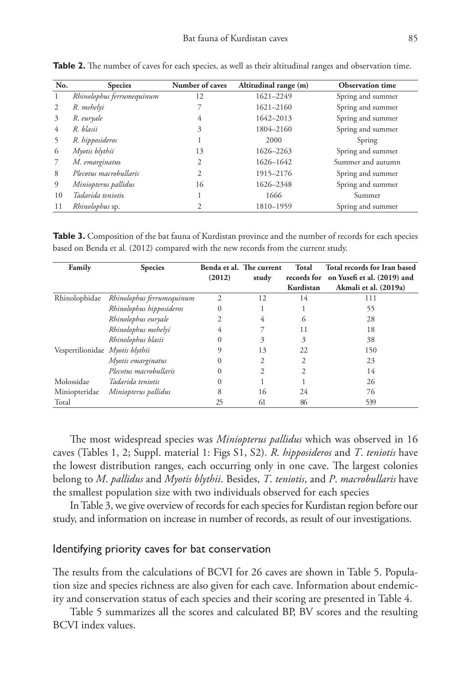| No.          | <b>Species</b>            | Number of caves | Altitudinal range (m) | <b>Observation time</b> |
|--------------|---------------------------|-----------------|-----------------------|-------------------------|
| $\mathbf{1}$ | Rhinolophus ferrumequinum | 12              | 1621-2249             | Spring and summer       |
| 2            | R. mehelyi                |                 | 1621-2160             | Spring and summer       |
| 3            | R. euryale                | 4               | 1642-2013             | Spring and summer       |
| 4            | R. blasii                 | 3               | 1804-2160             | Spring and summer       |
|              | R. hipposideros           |                 | 2000                  | Spring                  |
| 6            | Myotis blythii            | 13              | 1626-2263             | Spring and summer       |
|              | M. emarginatus            | 2               | 1626-1642             | Summer and autumn       |
| 8            | Plecotus macrobullaris    | 2               | 1915-2176             | Spring and summer       |
| 9            | Miniopterus pallidus      | 16              | 1626-2348             | Spring and summer       |
| 10           | Tadarida teniotis         |                 | 1666                  | Summer                  |
| 11           | Rhinolophus sp.           | 2               | 1810-1959             | Spring and summer       |

**Table 2.** The number of caves for each species, as well as their altitudinal ranges and observation time.

Table 3. Composition of the bat fauna of Kurdistan province and the number of records for each species based on Benda et al*.* (2012) compared with the new records from the current study.

| Family                          | <b>Species</b>            |                | Benda et al. The current | Total     | Total records for Iran based            |
|---------------------------------|---------------------------|----------------|--------------------------|-----------|-----------------------------------------|
|                                 |                           | (2012)         | study                    |           | records for on Yusefi et al. (2019) and |
|                                 |                           |                |                          | Kurdistan | Akmali et al. (2019a)                   |
| Rhinolophidae                   | Rhinolophus ferrumequinum | $\overline{c}$ | 12                       | 14        | 111                                     |
|                                 | Rhinolophus hipposideros  | $\Omega$       |                          |           | 55                                      |
|                                 | Rhinolophus euryale       |                | 4                        | $\sigma$  | 28                                      |
|                                 | Rhinolophus mehelyi       | 4              |                          | 11        | 18                                      |
|                                 | Rhinolophus blasii        | $\theta$       | 3                        | 3         | 38                                      |
| Vespertilionidae Myotis blythii |                           | 9              | 13                       | 22        | 150                                     |
|                                 | Myotis emarginatus        | $\Omega$       | 2                        | 2         | 23                                      |
|                                 | Plecotus macrobullaris    | 0              | 2                        | 2         | 14                                      |
| Molossidae                      | Tadarida teniotis         | $\theta$       |                          |           | 26                                      |
| Miniopteridae                   | Miniopterus pallidus      | 8              | 16                       | 24        | 76                                      |
| Total                           |                           | 25             | 61                       | 86        | 539                                     |

The most widespread species was *Miniopterus pallidus* which was observed in 16 caves (Tables 1, 2; Suppl. material 1: Figs S1, S2). *R*. *hipposideros* and *T*. *teniotis* have the lowest distribution ranges, each occurring only in one cave. The largest colonies belong to *M*. *pallidus* and *Myotis blythii*. Besides, *T*. *teniotis*, and *P*. *macrobullaris* have the smallest population size with two individuals observed for each species

In Table 3, we give overview of records for each species for Kurdistan region before our study, and information on increase in number of records, as result of our investigations.

### Identifying priority caves for bat conservation

The results from the calculations of BCVI for 26 caves are shown in Table 5. Population size and species richness are also given for each cave. Information about endemicity and conservation status of each species and their scoring are presented in Table 4.

Table 5 summarizes all the scores and calculated BP, BV scores and the resulting BCVI index values.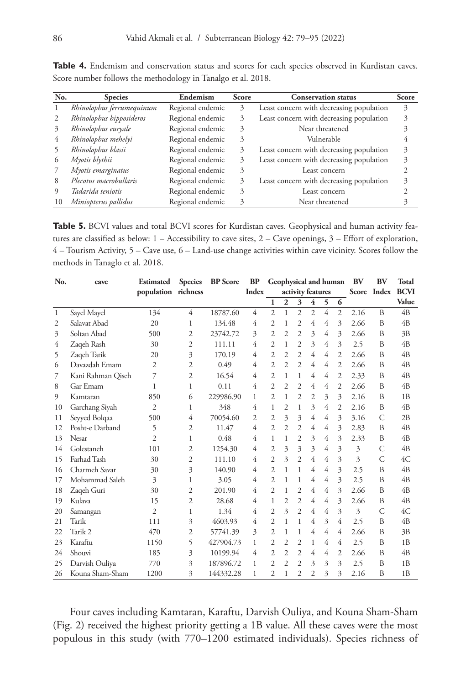| No. | <b>Species</b>            | Endemism         | <b>Score</b> | <b>Conservation status</b>               | <b>Score</b> |
|-----|---------------------------|------------------|--------------|------------------------------------------|--------------|
|     | Rhinolophus ferrumequinum | Regional endemic | 3            | Least concern with decreasing population | 3            |
|     | Rhinolophus hipposideros  | Regional endemic | 3            | Least concern with decreasing population |              |
| 3   | Rhinolophus euryale       | Regional endemic | 3            | Near threatened                          |              |
| 4   | Rhinolophus mehelyi       | Regional endemic | 3            | Vulnerable                               |              |
|     | Rhinolophus blasii        | Regional endemic | 3            | Least concern with decreasing population | 3            |
| 6   | Myotis blythii            | Regional endemic | 3            | Least concern with decreasing population | 3            |
|     | Myotis emarginatus        | Regional endemic | 3            | Least concern                            |              |
| 8   | Plecotus macrobullaris    | Regional endemic | 3            | Least concern with decreasing population | 3            |
|     | Tadarida teniotis         | Regional endemic | 3            | Least concern                            |              |
| 10  | Miniopterus pallidus      | Regional endemic | 3            | Near threatened                          |              |

Table 4. Endemism and conservation status and scores for each species observed in Kurdistan caves. Score number follows the methodology in Tanalgo et al. 2018.

Table 5. BCVI values and total BCVI scores for Kurdistan caves. Geophysical and human activity features are classified as below: 1 – Accessibility to cave sites, 2 – Cave openings, 3 – Effort of exploration, 4 – Tourism Activity, 5 – Cave use, 6 – Land-use change activities within cave vicinity. Scores follow the methods in Tanaglo et al. 2018.

| No.            | cave              | <b>Estimated</b>    | <b>Species</b> | <b>BP</b> Score | <b>BP</b>      | Geophysical and human  |                   |                |                         |   |                  | BV   | <b>BV</b>      | Total          |
|----------------|-------------------|---------------------|----------------|-----------------|----------------|------------------------|-------------------|----------------|-------------------------|---|------------------|------|----------------|----------------|
|                |                   | population richness |                |                 | <b>Index</b>   |                        | activity features |                |                         |   | Score Index BCVI |      |                |                |
|                |                   |                     |                |                 |                | 1                      | $\mathbf{2}$      | 3              | $\overline{\mathbf{4}}$ | 5 | 6                |      |                | Value          |
| $\mathbf{1}$   | Sayel Mayel       | 134                 | 4              | 18787.60        | 4              | $\overline{c}$         | 1                 | $\overline{c}$ | $\overline{2}$          | 4 | $\mathfrak{2}$   | 2.16 | B              | 4B             |
| $\overline{2}$ | Salavat Abad      | 20                  | 1              | 134.48          | 4              | $\mathfrak{D}$         | 1                 | $\overline{c}$ | 4                       | 4 | 3                | 2.66 | $\overline{B}$ | 4B             |
| 3              | Soltan Abad       | 500                 | $\overline{2}$ | 23742.72        | 3              | $\overline{c}$         | $\overline{c}$    | $\overline{c}$ | 3                       | 4 | 3                | 2.66 | B              | 3B             |
| $\overline{4}$ | Zaqeh Rash        | 30                  | $\overline{2}$ | 111.11          | 4              | $\mathfrak{D}$         | 1                 | $\overline{c}$ | 3                       | 4 | 3                | 2.5  | B              | 4B             |
| 5              | Zaqeh Tarik       | 20                  | 3              | 170.19          | 4              | $\overline{c}$         | $\overline{c}$    | $\overline{c}$ | 4                       | 4 | 2                | 2.66 | B              | 4B             |
| 6              | Davazdah Emam     | $\overline{2}$      | 2              | 0.49            | 4              | $\overline{c}$         | $\overline{c}$    | $\overline{2}$ | 4                       | 4 | $\overline{c}$   | 2.66 | B              | 4B             |
| 7              | Kani Rahman Qiseh | 7                   | 2              | 16.54           | 4              | $\overline{c}$         | 1                 | 1              | 4                       | 4 | $\overline{c}$   | 2.33 | $\overline{B}$ | 4 <sub>B</sub> |
| 8              | Gar Emam          | 1                   | 1              | 0.11            | $\overline{4}$ | $\overline{c}$         | $\overline{c}$    | $\overline{c}$ | 4                       | 4 | $\overline{c}$   | 2.66 | B              | 4B             |
| 9              | Kamtaran          | 850                 | 6              | 229986.90       | 1              | $\mathfrak{D}$         | 1                 | $\overline{c}$ | $\overline{c}$          | 3 | 3                | 2.16 | B              | 1B             |
| 10             | Garchang Siyah    | 2                   | 1              | 348             | 4              | 1                      | 2                 | 1              | 3                       | 4 | 2                | 2.16 | $\overline{B}$ | 4B             |
| 11             | Seyyed Bolqaa     | 500                 | 4              | 70054.60        | $\mathfrak{D}$ | $\mathfrak{D}$         | 3                 | 3              | 4                       | 4 | 3                | 3.16 | $\mathcal{C}$  | 2B             |
| 12             | Posht-e Darband   | 5                   | $\overline{c}$ | 11.47           | 4              | $\mathcal{D}_{\alpha}$ | $\overline{c}$    | $\overline{c}$ | 4                       | 4 | 3                | 2.83 | $\overline{B}$ | 4B             |
| 13             | Nesar             | $\overline{c}$      | 1              | 0.48            | 4              | 1                      | 1                 | $\overline{c}$ | 3                       | 4 | 3                | 2.33 | $\overline{B}$ | 4B             |
| 14             | Golestaneh        | 101                 | $\overline{2}$ | 1254.30         | 4              | $\overline{c}$         | 3                 | 3              | 3                       | 4 | 3                | 3    | $\mathcal{C}$  | 4B             |
| 15             | Farhad Tash       | 30                  | $\overline{c}$ | 111.10          | 4              | $\overline{c}$         | 3                 | $\overline{2}$ | 4                       | 4 | 3                | 3    | $\mathcal{C}$  | 4C             |
| 16             | Charmeh Savar     | 30                  | 3              | 140.90          | 4              | $\overline{c}$         | 1                 | 1              | 4                       | 4 | 3                | 2.5  | B              | 4B             |
| 17             | Mohammad Saleh    | 3                   | 1              | 3.05            | 4              | $\mathfrak{D}$         | 1                 | 1              | 4                       | 4 | 3                | 2.5  | $\overline{B}$ | 4B             |
| 18             | Zaqeh Guri        | 30                  | $\overline{2}$ | 201.90          | 4              | $\overline{c}$         | 1                 | $\overline{c}$ | 4                       | 4 | 3                | 2.66 | B              | 4B             |
| 19             | Kulava            | 15                  | 2              | 28.68           | 4              | 1                      | $\overline{c}$    | $\overline{c}$ | 4                       | 4 | 3                | 2.66 | B              | 4B             |
| 20             | Samangan          | $\overline{c}$      | 1              | 1.34            | $\overline{4}$ | $\overline{c}$         | 3                 | $\overline{c}$ | 4                       | 4 | 3                | 3    | $\mathcal{C}$  | 4C             |
| 21             | Tarik             | 111                 | 3              | 4603.93         | 4              | $\overline{c}$         | 1                 | 1              | 4                       | 3 | 4                | 2.5  | B              | 4B             |
| 22             | Tarik 2           | 470                 | 2              | 57741.39        | 3              | $\overline{c}$         | 1                 | 1              | 4                       | 4 | 4                | 2.66 | B              | 3B             |
| 23             | Karaftu           | 1150                | 5              | 427904.73       | 1              | $\overline{c}$         | 2                 | $\overline{c}$ | 1                       | 4 | 4                | 2.5  | $\overline{B}$ | 1B             |
| 24             | Shouvi            | 185                 | 3              | 10199.94        | 4              | $\overline{c}$         | $\overline{c}$    | $\overline{c}$ | 4                       | 4 | $\overline{c}$   | 2.66 | B              | 4B             |
| 25             | Darvish Ouliya    | 770                 | 3              | 187896.72       | 1              | $\mathfrak{D}$         | $\overline{c}$    | $\overline{c}$ | 3                       | 3 | 3                | 2.5  | B              | 1B             |
| 26             | Kouna Sham-Sham   | 1200                | 3              | 144332.28       | 1              | $\overline{c}$         | 1                 | $\overline{c}$ | $\overline{c}$          | 3 | 3                | 2.16 | B              | 1B             |

Four caves including Kamtaran, Karaftu, Darvish Ouliya, and Kouna Sham-Sham (Fig. 2) received the highest priority getting a 1B value. All these caves were the most populous in this study (with 770–1200 estimated individuals). Species richness of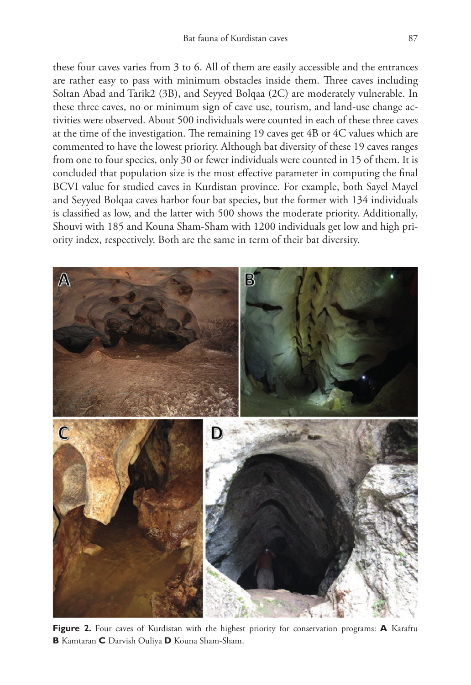these four caves varies from 3 to 6. All of them are easily accessible and the entrances are rather easy to pass with minimum obstacles inside them. Three caves including Soltan Abad and Tarik2 (3B), and Seyyed Bolqaa (2C) are moderately vulnerable. In these three caves, no or minimum sign of cave use, tourism, and land-use change activities were observed. About 500 individuals were counted in each of these three caves at the time of the investigation. The remaining 19 caves get 4B or 4C values which are commented to have the lowest priority. Although bat diversity of these 19 caves ranges from one to four species, only 30 or fewer individuals were counted in 15 of them. It is concluded that population size is the most effective parameter in computing the final BCVI value for studied caves in Kurdistan province. For example, both Sayel Mayel and Seyyed Bolqaa caves harbor four bat species, but the former with 134 individuals is classified as low, and the latter with 500 shows the moderate priority. Additionally, Shouvi with 185 and Kouna Sham-Sham with 1200 individuals get low and high priority index, respectively. Both are the same in term of their bat diversity.



**Figure 2.** Four caves of Kurdistan with the highest priority for conservation programs: **A** Karaftu **B** Kamtaran **C** Darvish Ouliya **D** Kouna Sham-Sham.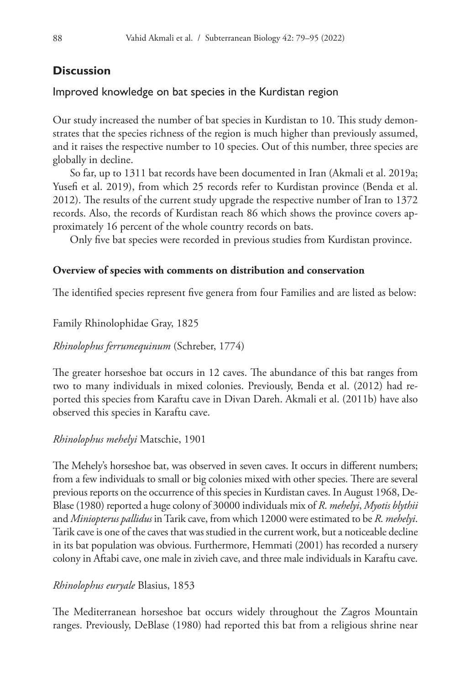## **Discussion**

## Improved knowledge on bat species in the Kurdistan region

Our study increased the number of bat species in Kurdistan to 10. This study demonstrates that the species richness of the region is much higher than previously assumed, and it raises the respective number to 10 species. Out of this number, three species are globally in decline.

So far, up to 1311 bat records have been documented in Iran (Akmali et al. 2019a; Yusefi et al. 2019), from which 25 records refer to Kurdistan province (Benda et al. 2012). The results of the current study upgrade the respective number of Iran to 1372 records. Also, the records of Kurdistan reach 86 which shows the province covers approximately 16 percent of the whole country records on bats.

Only five bat species were recorded in previous studies from Kurdistan province.

## **Overview of species with comments on distribution and conservation**

The identified species represent five genera from four Families and are listed as below:

Family Rhinolophidae Gray, 1825

*Rhinolophus ferrumequinum* (Schreber, 1774)

The greater horseshoe bat occurs in 12 caves. The abundance of this bat ranges from two to many individuals in mixed colonies. Previously, Benda et al. (2012) had reported this species from Karaftu cave in Divan Dareh. Akmali et al. (2011b) have also observed this species in Karaftu cave.

## *Rhinolophus mehelyi* Matschie, 1901

The Mehely's horseshoe bat, was observed in seven caves. It occurs in different numbers; from a few individuals to small or big colonies mixed with other species. There are several previous reports on the occurrence of this species in Kurdistan caves. In August 1968, De-Blase (1980) reported a huge colony of 30000 individuals mix of *R*. *mehelyi*, *Myotis blythii* and *Miniopterus pallidus* in Tarik cave, from which 12000 were estimated to be *R*. *mehelyi*. Tarik cave is one of the caves that was studied in the current work, but a noticeable decline in its bat population was obvious. Furthermore, Hemmati (2001) has recorded a nursery colony in Aftabi cave, one male in zivieh cave, and three male individuals in Karaftu cave.

## *Rhinolophus euryale* Blasius, 1853

The Mediterranean horseshoe bat occurs widely throughout the Zagros Mountain ranges. Previously, DeBlase (1980) had reported this bat from a religious shrine near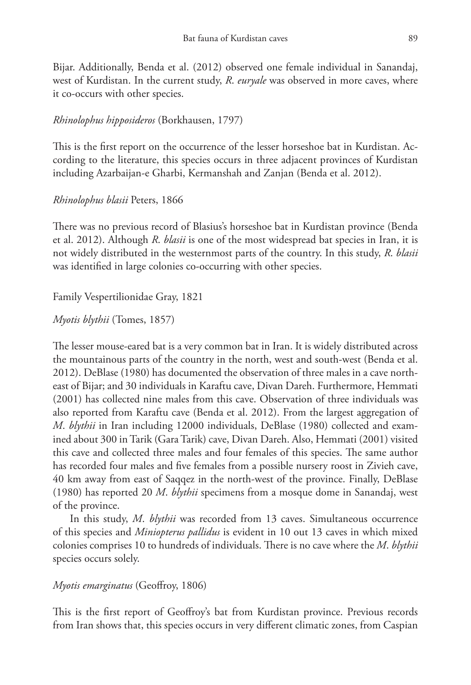Bijar. Additionally, Benda et al. (2012) observed one female individual in Sanandaj, west of Kurdistan. In the current study, *R*. *euryale* was observed in more caves, where it co-occurs with other species.

## *Rhinolophus hipposideros* (Borkhausen, 1797)

This is the first report on the occurrence of the lesser horseshoe bat in Kurdistan. According to the literature, this species occurs in three adjacent provinces of Kurdistan including Azarbaijan-e Gharbi, Kermanshah and Zanjan (Benda et al. 2012).

### *Rhinolophus blasii* Peters, 1866

There was no previous record of Blasius's horseshoe bat in Kurdistan province (Benda et al. 2012). Although *R*. *blasii* is one of the most widespread bat species in Iran, it is not widely distributed in the westernmost parts of the country. In this study, *R*. *blasii* was identified in large colonies co-occurring with other species.

## Family Vespertilionidae Gray, 1821

### *Myotis blythii* (Tomes, 1857)

The lesser mouse-eared bat is a very common bat in Iran. It is widely distributed across the mountainous parts of the country in the north, west and south-west (Benda et al. 2012). DeBlase (1980) has documented the observation of three males in a cave northeast of Bijar; and 30 individuals in Karaftu cave, Divan Dareh. Furthermore, Hemmati (2001) has collected nine males from this cave. Observation of three individuals was also reported from Karaftu cave (Benda et al. 2012). From the largest aggregation of *M*. *blythii* in Iran including 12000 individuals, DeBlase (1980) collected and examined about 300 in Tarik (Gara Tarik) cave, Divan Dareh. Also, Hemmati (2001) visited this cave and collected three males and four females of this species. The same author has recorded four males and five females from a possible nursery roost in Zivieh cave, 40 km away from east of Saqqez in the north-west of the province. Finally, DeBlase (1980) has reported 20 *M*. *blythii* specimens from a mosque dome in Sanandaj, west of the province.

In this study, *M*. *blythii* was recorded from 13 caves. Simultaneous occurrence of this species and *Miniopterus pallidus* is evident in 10 out 13 caves in which mixed colonies comprises 10 to hundreds of individuals. There is no cave where the *M*. *blythii* species occurs solely.

### *Myotis emarginatus* (Geoffroy, 1806)

This is the first report of Geoffroy's bat from Kurdistan province. Previous records from Iran shows that, this species occurs in very different climatic zones, from Caspian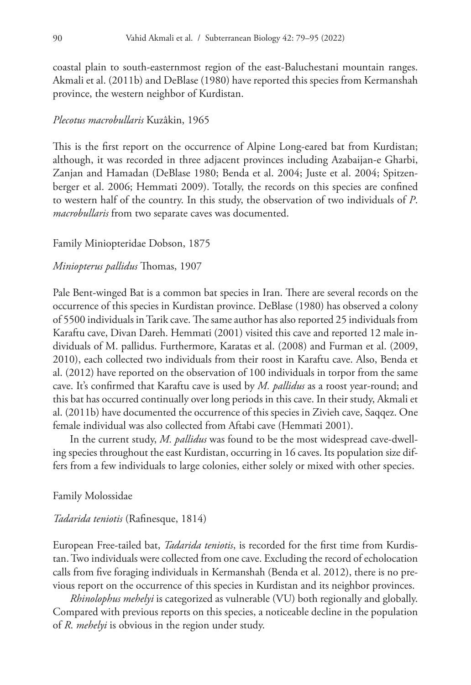coastal plain to south-easternmost region of the east-Baluchestani mountain ranges. Akmali et al. (2011b) and DeBlase (1980) have reported this species from Kermanshah province, the western neighbor of Kurdistan.

#### *Plecotus macrobullaris* Kuzâkin, 1965

This is the first report on the occurrence of Alpine Long-eared bat from Kurdistan; although, it was recorded in three adjacent provinces including Azabaijan-e Gharbi, Zanjan and Hamadan (DeBlase 1980; Benda et al. 2004; Juste et al. 2004; Spitzenberger et al. 2006; Hemmati 2009). Totally, the records on this species are confined to western half of the country. In this study, the observation of two individuals of *P*. *macrobullaris* from two separate caves was documented.

#### Family Miniopteridae Dobson, 1875

#### *Miniopterus pallidus* Thomas, 1907

Pale Bent-winged Bat is a common bat species in Iran. There are several records on the occurrence of this species in Kurdistan province. DeBlase (1980) has observed a colony of 5500 individuals in Tarik cave. The same author has also reported 25 individuals from Karaftu cave, Divan Dareh. Hemmati (2001) visited this cave and reported 12 male individuals of M. pallidus. Furthermore, Karatas et al. (2008) and Furman et al. (2009, 2010), each collected two individuals from their roost in Karaftu cave. Also, Benda et al. (2012) have reported on the observation of 100 individuals in torpor from the same cave. It's confirmed that Karaftu cave is used by *M. pallidus* as a roost year-round; and this bat has occurred continually over long periods in this cave. In their study, Akmali et al. (2011b) have documented the occurrence of this species in Zivieh cave, Saqqez. One female individual was also collected from Aftabi cave (Hemmati 2001).

In the current study, *M. pallidus* was found to be the most widespread cave-dwelling species throughout the east Kurdistan, occurring in 16 caves. Its population size differs from a few individuals to large colonies, either solely or mixed with other species.

#### Family Molossidae

#### *Tadarida teniotis* (Rafinesque, 1814)

European Free-tailed bat, *Tadarida teniotis*, is recorded for the first time from Kurdistan. Two individuals were collected from one cave. Excluding the record of echolocation calls from five foraging individuals in Kermanshah (Benda et al. 2012), there is no previous report on the occurrence of this species in Kurdistan and its neighbor provinces.

*Rhinolophus mehelyi* is categorized as vulnerable (VU) both regionally and globally. Compared with previous reports on this species, a noticeable decline in the population of *R*. *mehelyi* is obvious in the region under study.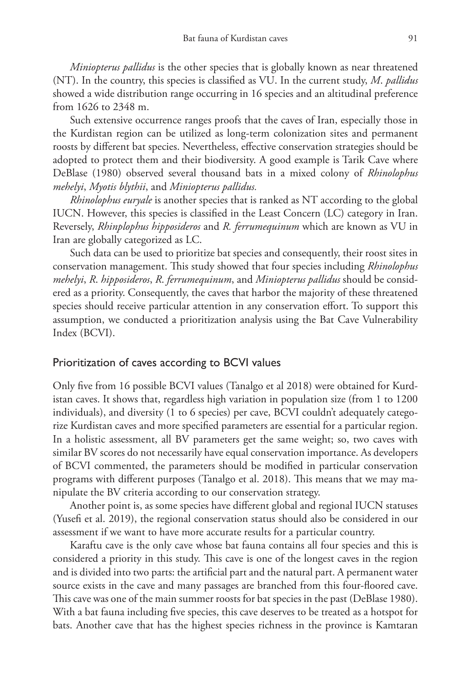*Miniopterus pallidus* is the other species that is globally known as near threatened (NT). In the country, this species is classified as VU. In the current study, *M*. *pallidus* showed a wide distribution range occurring in 16 species and an altitudinal preference from 1626 to 2348 m.

Such extensive occurrence ranges proofs that the caves of Iran, especially those in the Kurdistan region can be utilized as long-term colonization sites and permanent roosts by different bat species. Nevertheless, effective conservation strategies should be adopted to protect them and their biodiversity. A good example is Tarik Cave where DeBlase (1980) observed several thousand bats in a mixed colony of *Rhinolophus mehelyi*, *Myotis blythii*, and *Miniopterus pallidus.*

*Rhinolophus euryale* is another species that is ranked as NT according to the global IUCN. However, this species is classified in the Least Concern (LC) category in Iran. Reversely, *Rhinplophus hipposideros* and *R. ferrumequinum* which are known as VU in Iran are globally categorized as LC.

Such data can be used to prioritize bat species and consequently, their roost sites in conservation management. This study showed that four species including *Rhinolophus mehelyi*, *R*. *hipposideros*, *R*. *ferrumequinum*, and *Miniopterus pallidus* should be considered as a priority. Consequently, the caves that harbor the majority of these threatened species should receive particular attention in any conservation effort. To support this assumption, we conducted a prioritization analysis using the Bat Cave Vulnerability Index (BCVI).

### Prioritization of caves according to BCVI values

Only five from 16 possible BCVI values (Tanalgo et al 2018) were obtained for Kurdistan caves. It shows that, regardless high variation in population size (from 1 to 1200 individuals), and diversity (1 to 6 species) per cave, BCVI couldn't adequately categorize Kurdistan caves and more specified parameters are essential for a particular region. In a holistic assessment, all BV parameters get the same weight; so, two caves with similar BV scores do not necessarily have equal conservation importance. As developers of BCVI commented, the parameters should be modified in particular conservation programs with different purposes (Tanalgo et al. 2018). This means that we may manipulate the BV criteria according to our conservation strategy.

Another point is, as some species have different global and regional IUCN statuses (Yusefi et al. 2019), the regional conservation status should also be considered in our assessment if we want to have more accurate results for a particular country.

Karaftu cave is the only cave whose bat fauna contains all four species and this is considered a priority in this study. This cave is one of the longest caves in the region and is divided into two parts: the artificial part and the natural part. A permanent water source exists in the cave and many passages are branched from this four-floored cave. This cave was one of the main summer roosts for bat species in the past (DeBlase 1980). With a bat fauna including five species, this cave deserves to be treated as a hotspot for bats. Another cave that has the highest species richness in the province is Kamtaran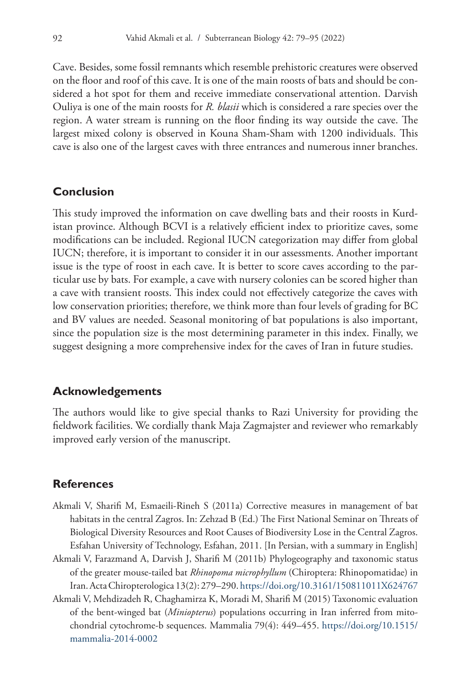Cave. Besides, some fossil remnants which resemble prehistoric creatures were observed on the floor and roof of this cave. It is one of the main roosts of bats and should be considered a hot spot for them and receive immediate conservational attention. Darvish Ouliya is one of the main roosts for *R. blasii* which is considered a rare species over the region. A water stream is running on the floor finding its way outside the cave. The largest mixed colony is observed in Kouna Sham-Sham with 1200 individuals. This cave is also one of the largest caves with three entrances and numerous inner branches.

### **Conclusion**

This study improved the information on cave dwelling bats and their roosts in Kurdistan province. Although BCVI is a relatively efficient index to prioritize caves, some modifications can be included. Regional IUCN categorization may differ from global IUCN; therefore, it is important to consider it in our assessments. Another important issue is the type of roost in each cave. It is better to score caves according to the particular use by bats. For example, a cave with nursery colonies can be scored higher than a cave with transient roosts. This index could not effectively categorize the caves with low conservation priorities; therefore, we think more than four levels of grading for BC and BV values are needed. Seasonal monitoring of bat populations is also important, since the population size is the most determining parameter in this index. Finally, we suggest designing a more comprehensive index for the caves of Iran in future studies.

### **Acknowledgements**

The authors would like to give special thanks to Razi University for providing the fieldwork facilities. We cordially thank Maja Zagmajster and reviewer who remarkably improved early version of the manuscript.

### **References**

- Akmali V, Sharifi M, Esmaeili-Rineh S (2011a) Corrective measures in management of bat habitats in the central Zagros. In: Zehzad B (Ed.) The First National Seminar on Threats of Biological Diversity Resources and Root Causes of Biodiversity Lose in the Central Zagros. Esfahan University of Technology, Esfahan, 2011. [In Persian, with a summary in English]
- Akmali V, Farazmand A, Darvish J, Sharifi M (2011b) Phylogeography and taxonomic status of the greater mouse-tailed bat *Rhinopoma microphyllum* (Chiroptera: Rhinopomatidae) in Iran. Acta Chiropterologica 13(2): 279–290.<https://doi.org/10.3161/150811011X624767>
- Akmali V, Mehdizadeh R, Chaghamirza K, Moradi M, Sharifi M (2015) Taxonomic evaluation of the bent-winged bat (*Miniopterus*) populations occurring in Iran inferred from mitochondrial cytochrome-b sequences. Mammalia 79(4): 449–455. [https://doi.org/10.1515/](https://doi.org/10.1515/mammalia-2014-0002) [mammalia-2014-0002](https://doi.org/10.1515/mammalia-2014-0002)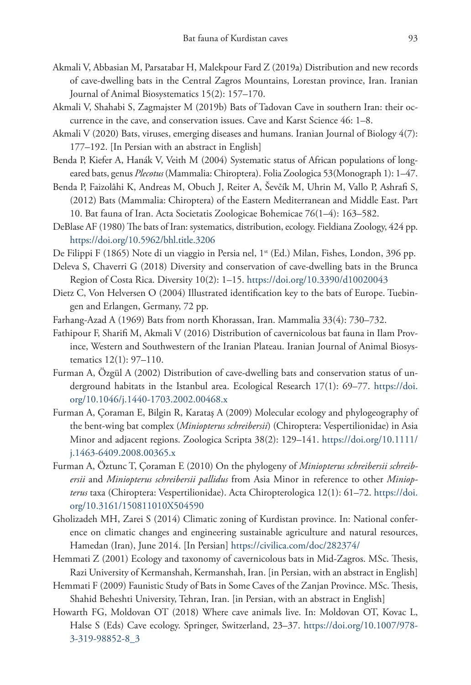- Akmali V, Abbasian M, Parsatabar H, Malekpour Fard Z (2019a) Distribution and new records of cave-dwelling bats in the Central Zagros Mountains, Lorestan province, Iran. Iranian Journal of Animal Biosystematics 15(2): 157–170.
- Akmali V, Shahabi S, Zagmajster M (2019b) Bats of Tadovan Cave in southern Iran: their occurrence in the cave, and conservation issues. Cave and Karst Science 46: 1–8.
- Akmali V (2020) Bats, viruses, emerging diseases and humans. Iranian Journal of Biology 4(7): 177–192. [In Persian with an abstract in English]
- Benda P, Kiefer A, Hanák V, Veith M (2004) Systematic status of African populations of longeared bats, genus *Plecotus* (Mammalia: Chiroptera). Folia Zoologica 53(Monograph 1): 1–47.
- Benda P, Faizolâhi K, Andreas M, Obuch J, Reiter A, Ševčík M, Uhrin M, Vallo P, Ashrafi S, (2012) Bats (Mammalia: Chiroptera) of the Eastern Mediterranean and Middle East. Part 10. Bat fauna of Iran. Acta Societatis Zoologicae Bohemicae 76(1–4): 163–582.
- DeBlase AF (1980) The bats of Iran: systematics, distribution, ecology. Fieldiana Zoology, 424 pp. <https://doi.org/10.5962/bhl.title.3206>
- De Filippi F (1865) Note di un viaggio in Persia nel, 1<sup>st</sup> (Ed.) Milan, Fishes, London, 396 pp.
- Deleva S, Chaverri G (2018) Diversity and conservation of cave-dwelling bats in the Brunca Region of Costa Rica. Diversity 10(2): 1–15.<https://doi.org/10.3390/d10020043>
- Dietz C, Von Helversen O (2004) Illustrated identification key to the bats of Europe. Tuebingen and Erlangen, Germany, 72 pp.
- Farhang-Azad A (1969) Bats from north Khorassan, Iran. Mammalia 33(4): 730–732.
- Fathipour F, Sharifi M, Akmali V (2016) Distribution of cavernicolous bat fauna in Ilam Province, Western and Southwestern of the Iranian Plateau. Iranian Journal of Animal Biosystematics 12(1): 97–110.
- Furman A, Özgül A (2002) Distribution of cave-dwelling bats and conservation status of underground habitats in the Istanbul area. Ecological Research 17(1): 69–77. [https://doi.](https://doi.org/10.1046/j.1440-1703.2002.00468.x) [org/10.1046/j.1440-1703.2002.00468.x](https://doi.org/10.1046/j.1440-1703.2002.00468.x)
- Furman A, Çoraman E, Bilgin R, Karataş A (2009) Molecular ecology and phylogeography of the bent-wing bat complex (*Miniopterus schreibersii*) (Chiroptera: Vespertilionidae) in Asia Minor and adjacent regions. Zoologica Scripta 38(2): 129–141. [https://doi.org/10.1111/](https://doi.org/10.1111/j.1463-6409.2008.00365.x) [j.1463-6409.2008.00365.x](https://doi.org/10.1111/j.1463-6409.2008.00365.x)
- Furman A, Öztunc T, Çoraman E (2010) On the phylogeny of *Miniopterus schreibersii schreibersii* and *Miniopterus schreibersii pallidus* from Asia Minor in reference to other *Miniopterus* taxa (Chiroptera: Vespertilionidae). Acta Chiropterologica 12(1): 61–72. [https://doi.](https://doi.org/10.3161/150811010X504590) [org/10.3161/150811010X504590](https://doi.org/10.3161/150811010X504590)
- Gholizadeh MH, Zarei S (2014) Climatic zoning of Kurdistan province. In: National conference on climatic changes and engineering sustainable agriculture and natural resources, Hamedan (Iran), June 2014. [In Persian] <https://civilica.com/doc/282374/>
- Hemmati Z (2001) Ecology and taxonomy of cavernicolous bats in Mid-Zagros. MSc. Thesis, Razi University of Kermanshah, Kermanshah, Iran. [in Persian, with an abstract in English]
- Hemmati F (2009) Faunistic Study of Bats in Some Caves of the Zanjan Province. MSc. Thesis, Shahid Beheshti University, Tehran, Iran. [in Persian, with an abstract in English]
- Howarth FG, Moldovan OT (2018) Where cave animals live. In: Moldovan OT, Kovac L, Halse S (Eds) Cave ecology. Springer, Switzerland, 23–37. [https://doi.org/10.1007/978-](https://doi.org/10.1007/978-3-319-98852-8_3) [3-319-98852-8\\_3](https://doi.org/10.1007/978-3-319-98852-8_3)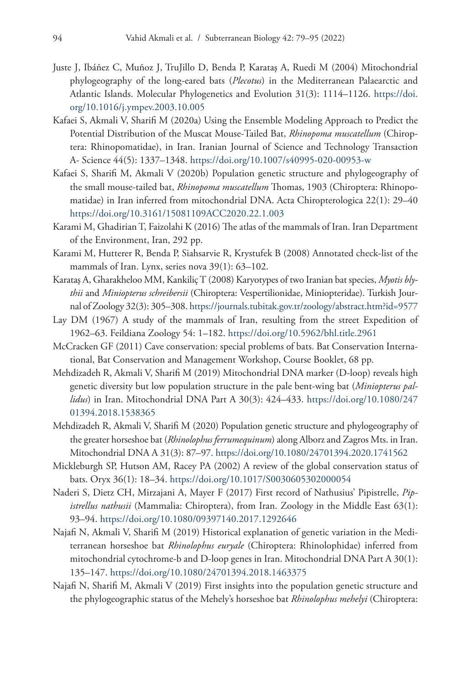- Juste J, Ibáñez C, Muñoz J, TruJillo D, Benda P, Karataş A, Ruedi M (2004) Mitochondrial phylogeography of the long-eared bats (*Plecotus*) in the Mediterranean Palaearctic and Atlantic Islands. Molecular Phylogenetics and Evolution 31(3): 1114–1126. [https://doi.](https://doi.org/10.1016/j.ympev.2003.10.005) [org/10.1016/j.ympev.2003.10.005](https://doi.org/10.1016/j.ympev.2003.10.005)
- Kafaei S, Akmali V, Sharifi M (2020a) Using the Ensemble Modeling Approach to Predict the Potential Distribution of the Muscat Mouse-Tailed Bat, *Rhinopoma muscatellum* (Chiroptera: Rhinopomatidae), in Iran. Iranian Journal of Science and Technology Transaction A- Science 44(5): 1337–1348. <https://doi.org/10.1007/s40995-020-00953-w>
- Kafaei S, Sharifi M, Akmali V (2020b) Population genetic structure and phylogeography of the small mouse-tailed bat, *Rhinopoma muscatellum* Thomas, 1903 (Chiroptera: Rhinopomatidae) in Iran inferred from mitochondrial DNA. Acta Chiropterologica 22(1): 29–40 <https://doi.org/10.3161/15081109ACC2020.22.1.003>
- Karami M, Ghadirian T, Faizolahi K (2016) The atlas of the mammals of Iran. Iran Department of the Environment, Iran, 292 pp.
- Karami M, Hutterer R, Benda P, Siahsarvie R, Krystufek B (2008) Annotated check-list of the mammals of Iran. Lynx, series nova 39(1): 63–102.
- Karataş A, Gharakheloo MM, Kankiliç T (2008) Karyotypes of two Iranian bat species, *Myotis blythii* and *Miniopterus schreibersii* (Chiroptera: Vespertilionidae, Miniopteridae). Turkish Journal of Zoology 32(3): 305–308.<https://journals.tubitak.gov.tr/zoology/abstract.htm?id=9577>
- Lay DM (1967) A study of the mammals of Iran, resulting from the street Expedition of 1962–63. Feildiana Zoology 54: 1–182. <https://doi.org/10.5962/bhl.title.2961>
- McCracken GF (2011) Cave conservation: special problems of bats. Bat Conservation International, Bat Conservation and Management Workshop, Course Booklet, 68 pp.
- Mehdizadeh R, Akmali V, Sharifi M (2019) Mitochondrial DNA marker (D-loop) reveals high genetic diversity but low population structure in the pale bent-wing bat (*Miniopterus pallidus*) in Iran. Mitochondrial DNA Part A 30(3): 424–433. [https://doi.org/10.1080/247](https://doi.org/10.1080/24701394.2018.1538365) [01394.2018.1538365](https://doi.org/10.1080/24701394.2018.1538365)
- Mehdizadeh R, Akmali V, Sharifi M (2020) Population genetic structure and phylogeography of the greater horseshoe bat (*Rhinolophus ferrumequinum*) along Alborz and Zagros Mts. in Iran. Mitochondrial DNA A 31(3): 87–97.<https://doi.org/10.1080/24701394.2020.1741562>
- Mickleburgh SP, Hutson AM, Racey PA (2002) A review of the global conservation status of bats. Oryx 36(1): 18–34. <https://doi.org/10.1017/S0030605302000054>
- Naderi S, Dietz CH, Mirzajani A, Mayer F (2017) First record of Nathusius' Pipistrelle, *Pipistrellus nathusii* (Mammalia: Chiroptera), from Iran. Zoology in the Middle East 63(1): 93–94.<https://doi.org/10.1080/09397140.2017.1292646>
- Najafi N, Akmali V, Sharifi M (2019) Historical explanation of genetic variation in the Mediterranean horseshoe bat *Rhinolophus euryale* (Chiroptera: Rhinolophidae) inferred from mitochondrial cytochrome-b and D-loop genes in Iran. Mitochondrial DNA Part A 30(1): 135–147.<https://doi.org/10.1080/24701394.2018.1463375>
- Najafi N, Sharifi M, Akmali V (2019) First insights into the population genetic structure and the phylogeographic status of the Mehely's horseshoe bat *Rhinolophus mehelyi* (Chiroptera: